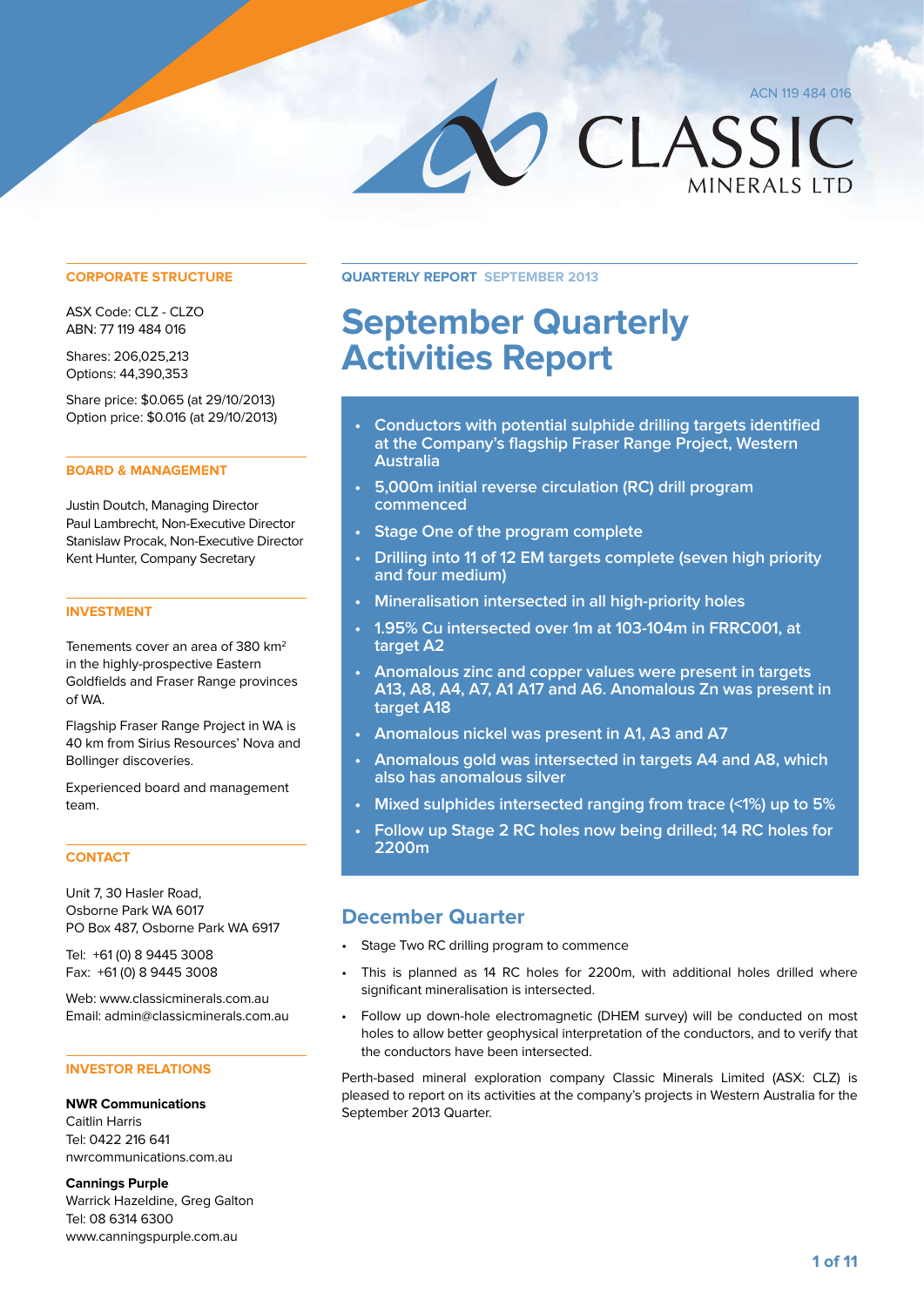**MINERALS LTD** 

CLASSIC

# **September Quarterly Activities Report**

- **• Conductors with potential sulphide drilling targets identified at the Company's flagship Fraser Range Project, Western Australia**
- **• 5,000m initial reverse circulation (RC) drill program commenced**
- **• Stage One of the program complete**
- **• Drilling into 11 of 12 EM targets complete (seven high priority and four medium)**
- **• Mineralisation intersected in all high-priority holes**
- **• 1.95% Cu intersected over 1m at 103-104m in FRRC001, at target A2**
- **• Anomalous zinc and copper values were present in targets A13, A8, A4, A7, A1 A17 and A6. Anomalous Zn was present in target A18**
- **• Anomalous nickel was present in A1, A3 and A7**
- **• Anomalous gold was intersected in targets A4 and A8, which also has anomalous silver**
- **• Mixed sulphides intersected ranging from trace (<1%) up to 5%**
- **• Follow up Stage 2 RC holes now being drilled; 14 RC holes for 2200m**

# **December Quarter**

- Stage Two RC drilling program to commence
- This is planned as 14 RC holes for 2200m, with additional holes drilled where significant mineralisation is intersected.
- • Follow up down-hole electromagnetic (DHEM survey) will be conducted on most holes to allow better geophysical interpretation of the conductors, and to verify that the conductors have been intersected.

Perth-based mineral exploration company Classic Minerals Limited (ASX: CLZ) is pleased to report on its activities at the company's projects in Western Australia for the September 2013 Quarter.

#### **CORPORATE STRUCTURE Quarterly Report September 2013**

ASX Code: CLZ - CLZO ABN: 77 119 484 016

Shares: 206,025,213 Options: 44,390,353

Share price: \$0.065 (at 29/10/2013) Option price: \$0.016 (at 29/10/2013)

#### **BOARD & MANAGEMENT**

Justin Doutch, Managing Director Paul Lambrecht, Non-Executive Director Stanislaw Procak, Non-Executive Director Kent Hunter, Company Secretary

#### **INVESTMENT**

Tenements cover an area of 380 km2 in the highly-prospective Eastern Goldfields and Fraser Range provinces of WA.

Flagship Fraser Range Project in WA is 40 km from Sirius Resources' Nova and Bollinger discoveries.

Experienced board and management team.

#### **CONTACT**

Unit 7, 30 Hasler Road, Osborne Park WA 6017 PO Box 487, Osborne Park WA 6917

Tel: +61 (0) 8 9445 3008 Fax: +61 (0) 8 9445 3008

Web: www.classicminerals.com.au Email: admin@classicminerals.com.au

#### **INVESTOR RELATIONS**

**NWR Communications** Caitlin Harris Tel: 0422 216 641 nwrcommunications.com.au

**Cannings Purple** Warrick Hazeldine, Greg Galton Tel: 08 6314 6300 www.canningspurple.com.au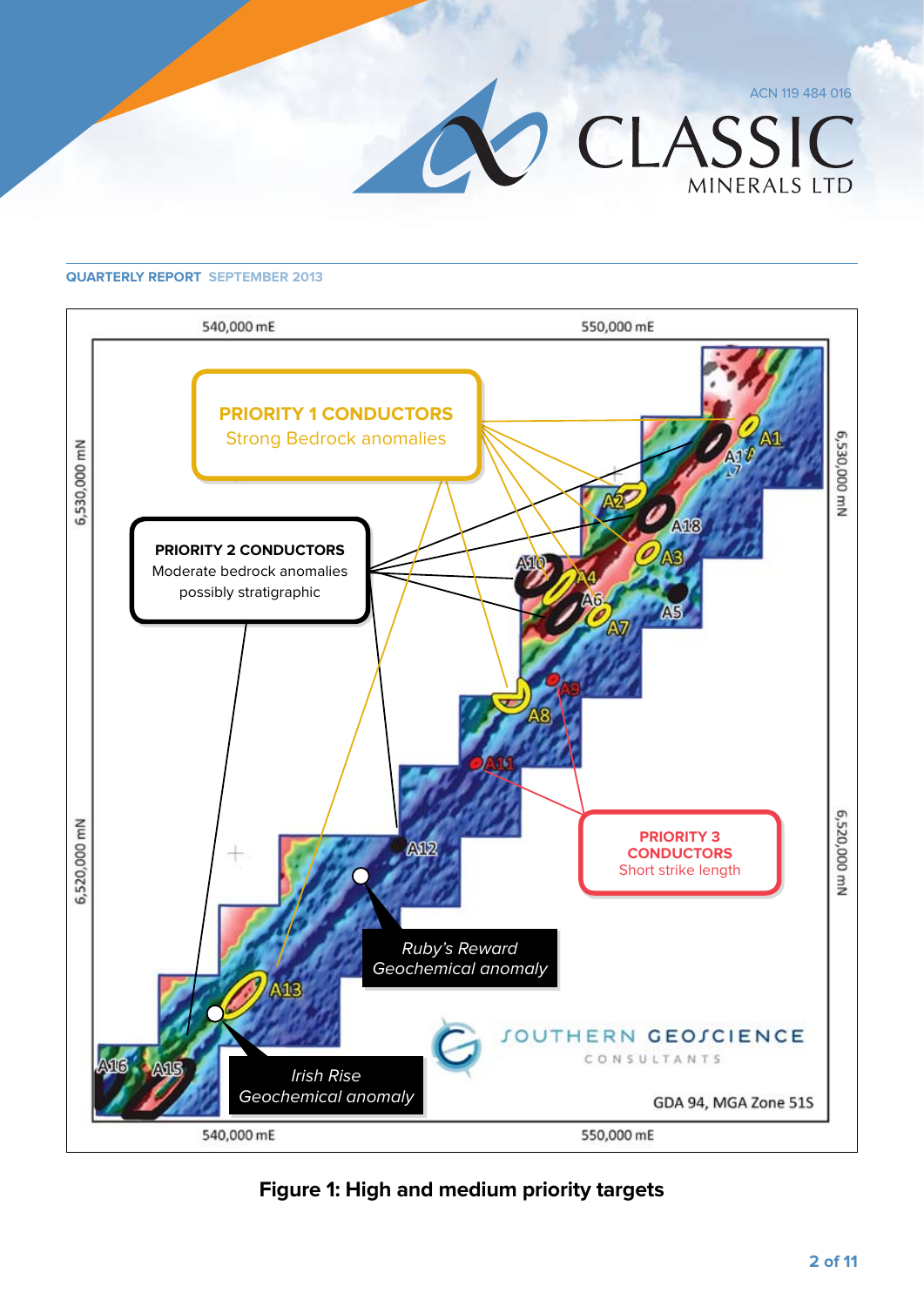



**Figure 1: High and medium priority targets**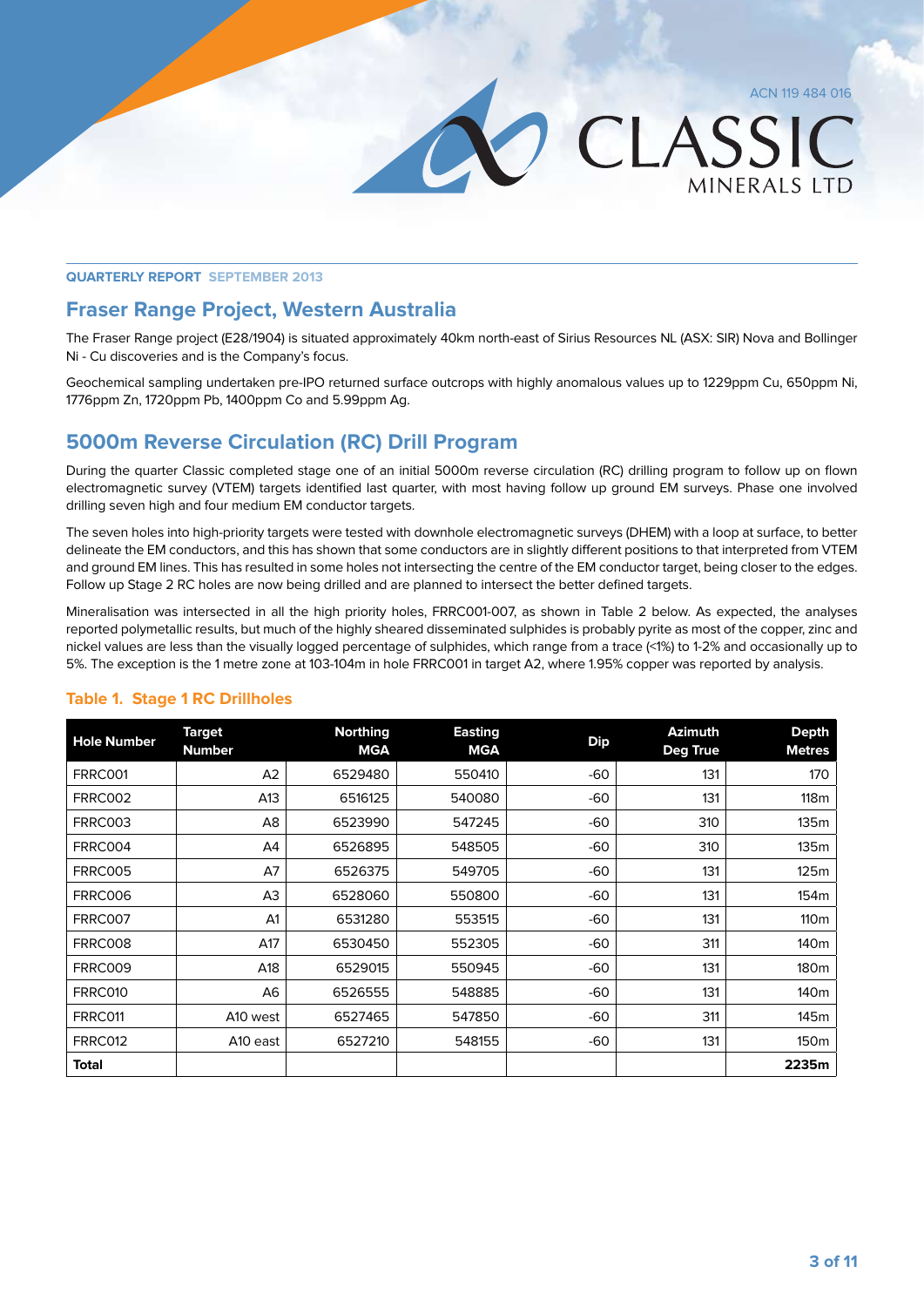LASSIC

MINFRAIS ITD

#### **Quarterly Report September 2013**

## **Fraser Range Project, Western Australia**

The Fraser Range project (E28/1904) is situated approximately 40km north-east of Sirius Resources NL (ASX: SIR) Nova and Bollinger Ni - Cu discoveries and is the Company's focus.

Geochemical sampling undertaken pre-IPO returned surface outcrops with highly anomalous values up to 1229ppm Cu, 650ppm Ni, 1776ppm Zn, 1720ppm Pb, 1400ppm Co and 5.99ppm Ag.

# **5000m Reverse Circulation (RC) Drill Program**

During the quarter Classic completed stage one of an initial 5000m reverse circulation (RC) drilling program to follow up on flown electromagnetic survey (VTEM) targets identified last quarter, with most having follow up ground EM surveys. Phase one involved drilling seven high and four medium EM conductor targets.

The seven holes into high-priority targets were tested with downhole electromagnetic surveys (DHEM) with a loop at surface, to better delineate the EM conductors, and this has shown that some conductors are in slightly different positions to that interpreted from VTEM and ground EM lines. This has resulted in some holes not intersecting the centre of the EM conductor target, being closer to the edges. Follow up Stage 2 RC holes are now being drilled and are planned to intersect the better defined targets.

Mineralisation was intersected in all the high priority holes, FRRC001-007, as shown in Table 2 below. As expected, the analyses reported polymetallic results, but much of the highly sheared disseminated sulphides is probably pyrite as most of the copper, zinc and nickel values are less than the visually logged percentage of sulphides, which range from a trace (<1%) to 1-2% and occasionally up to 5%. The exception is the 1 metre zone at 103-104m in hole FRRC001 in target A2, where 1.95% copper was reported by analysis.

| <b>Hole Number</b> | <b>Target</b><br><b>Number</b> | <b>Northing</b><br><b>MGA</b> | <b>Easting</b><br><b>MGA</b> | <b>Dip</b> | <b>Azimuth</b><br>Deg True | <b>Depth</b><br><b>Metres</b> |
|--------------------|--------------------------------|-------------------------------|------------------------------|------------|----------------------------|-------------------------------|
| FRRC001            | A2                             | 6529480                       | 550410                       | $-60$      | 131                        | 170                           |
| <b>FRRC002</b>     | A13                            | 6516125                       | 540080                       | $-60$      | 131                        | 118 <sub>m</sub>              |
| FRRC003            | A <sub>8</sub>                 | 6523990                       | 547245                       | $-60$      | 310                        | 135m                          |
| FRRC004            | A4                             | 6526895                       | 548505                       | $-60$      | 310                        | 135m                          |
| <b>FRRC005</b>     | A7                             | 6526375                       | 549705                       | $-60$      | 131                        | 125m                          |
| FRRC006            | A <sub>3</sub>                 | 6528060                       | 550800                       | $-60$      | 131                        | 154 <sub>m</sub>              |
| <b>FRRC007</b>     | A <sub>1</sub>                 | 6531280                       | 553515                       | $-60$      | 131                        | 110 <sub>m</sub>              |
| FRRC008            | A17                            | 6530450                       | 552305                       | $-60$      | 311                        | 140 <sub>m</sub>              |
| FRRC009            | A18                            | 6529015                       | 550945                       | $-60$      | 131                        | 180m                          |
| FRRC010            | A6                             | 6526555                       | 548885                       | $-60$      | 131                        | 140 <sub>m</sub>              |
| FRRC011            | A10 west                       | 6527465                       | 547850                       | $-60$      | 311                        | 145m                          |
| FRRC012            | A10 east                       | 6527210                       | 548155                       | $-60$      | 131                        | 150m                          |
| <b>Total</b>       |                                |                               |                              |            |                            | 2235m                         |

#### **Table 1. Stage 1 RC Drillholes**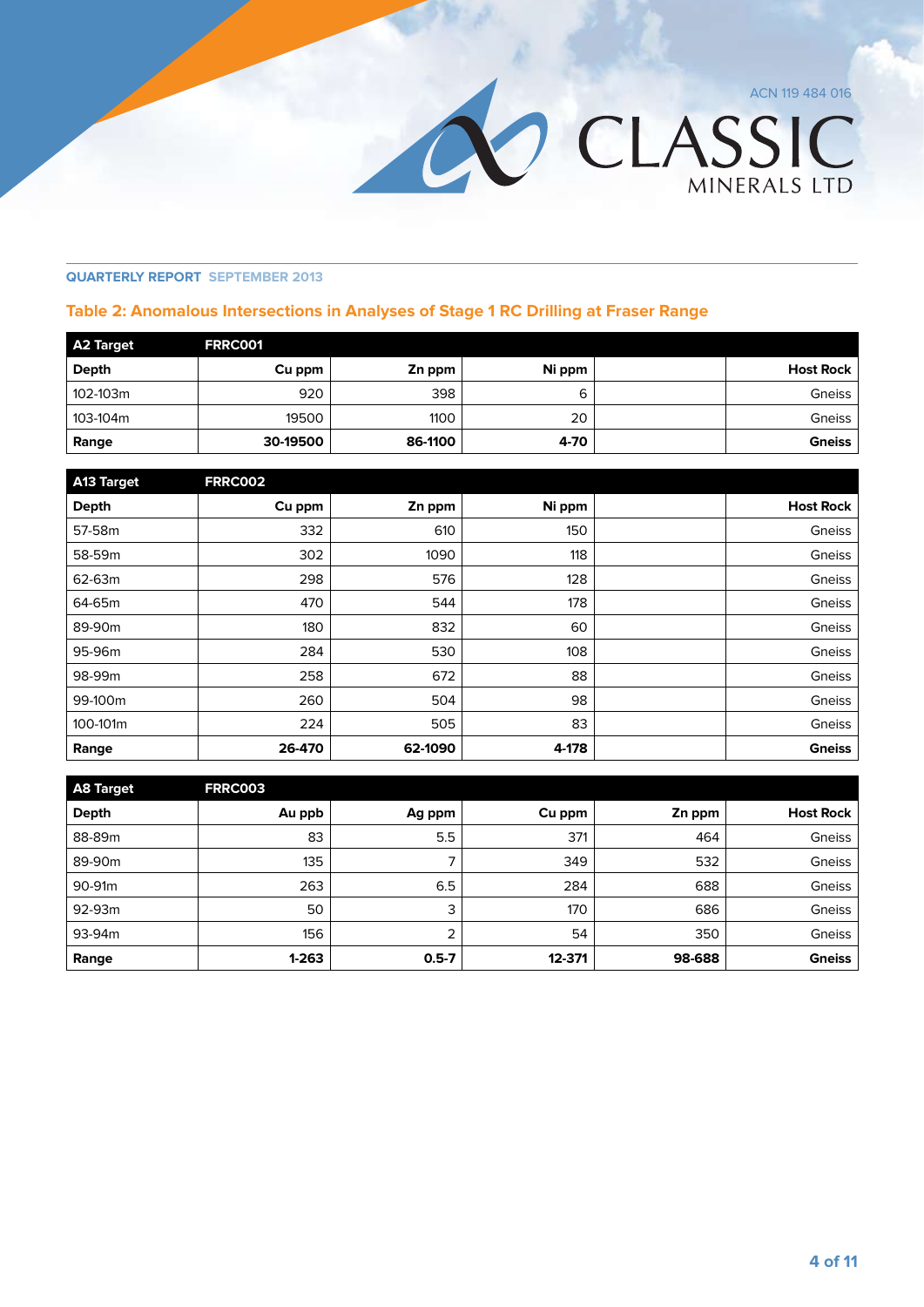OLASSIC

#### **Quarterly Report September 2013**

#### **Table 2: Anomalous Intersections in Analyses of Stage 1 RC Drilling at Fraser Range**

| A2 Target | <b>FRRC001</b> |         |        |               |
|-----------|----------------|---------|--------|---------------|
| Depth     | Cu ppm         | Zn ppm  | Ni ppm | Host Rock     |
| 102-103m  | 920            | 398     | ь      | Gneiss        |
| 103-104m  | 19500          | 1100    | 20     | Gneiss        |
| Range     | 30-19500       | 86-1100 | 4-70   | <b>Gneiss</b> |

| <b>A13 Target</b> | <b>FRRC002</b> |         |        |                  |
|-------------------|----------------|---------|--------|------------------|
| Depth             | Cu ppm         | Zn ppm  | Ni ppm | <b>Host Rock</b> |
| 57-58m            | 332            | 610     | 150    | Gneiss           |
| 58-59m            | 302            | 1090    | 118    | Gneiss           |
| 62-63m            | 298            | 576     | 128    | Gneiss           |
| 64-65m            | 470            | 544     | 178    | Gneiss           |
| 89-90m            | 180            | 832     | 60     | Gneiss           |
| 95-96m            | 284            | 530     | 108    | Gneiss           |
| 98-99m            | 258            | 672     | 88     | Gneiss           |
| 99-100m           | 260            | 504     | 98     | Gneiss           |
| 100-101m          | 224            | 505     | 83     | Gneiss           |
| Range             | 26-470         | 62-1090 | 4-178  | <b>Gneiss</b>    |

| <b>A8 Target</b> | <b>FRRC003</b> |           |        |        |                  |
|------------------|----------------|-----------|--------|--------|------------------|
| Depth            | Au ppb         | Ag ppm    | Cu ppm | Zn ppm | <b>Host Rock</b> |
| 88-89m           | 83             | 5.5       | 371    | 464    | Gneiss           |
| 89-90m           | 135            | ⇁         | 349    | 532    | Gneiss           |
| 90-91m           | 263            | 6.5       | 284    | 688    | Gneiss           |
| 92-93m           | 50             | 3         | 170    | 686    | Gneiss           |
| 93-94m           | 156            | 2         | 54     | 350    | Gneiss           |
| Range            | $1 - 263$      | $0.5 - 7$ | 12-371 | 98-688 | <b>Gneiss</b>    |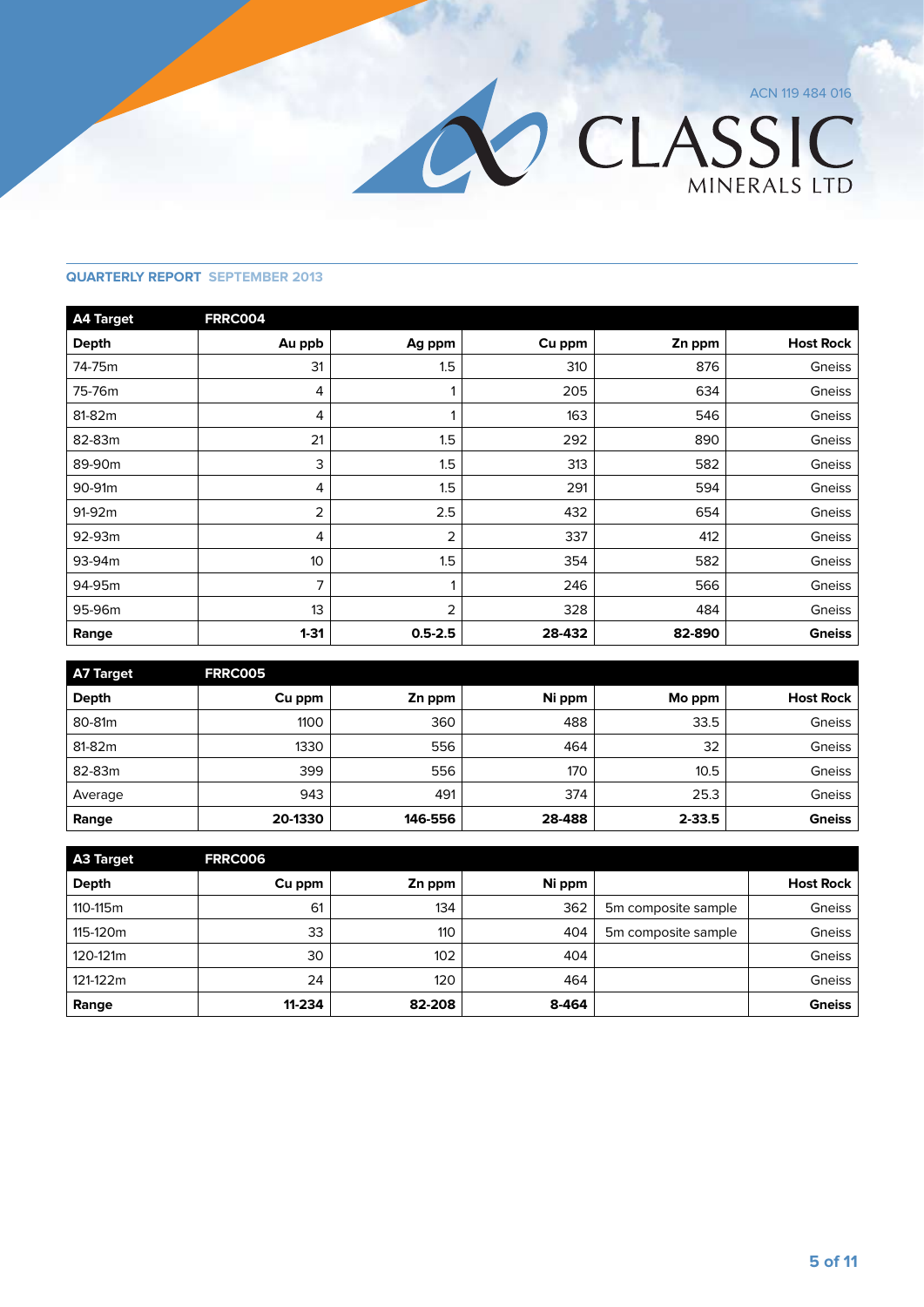

| <b>A4 Target</b> | <b>FRRC004</b> |                |        |        |                  |
|------------------|----------------|----------------|--------|--------|------------------|
| <b>Depth</b>     | Au ppb         | Ag ppm         | Cu ppm | Zn ppm | <b>Host Rock</b> |
| 74-75m           | 31             | 1.5            | 310    | 876    | Gneiss           |
| 75-76m           | 4              | 1              | 205    | 634    | Gneiss           |
| 81-82m           | 4              |                | 163    | 546    | Gneiss           |
| 82-83m           | 21             | 1.5            | 292    | 890    | Gneiss           |
| 89-90m           | 3              | 1.5            | 313    | 582    | Gneiss           |
| 90-91m           | 4              | 1.5            | 291    | 594    | Gneiss           |
| 91-92m           | 2              | 2.5            | 432    | 654    | Gneiss           |
| 92-93m           | 4              | $\overline{2}$ | 337    | 412    | Gneiss           |
| 93-94m           | 10             | 1.5            | 354    | 582    | Gneiss           |
| 94-95m           | 7              | 1              | 246    | 566    | Gneiss           |
| 95-96m           | 13             | $\overline{2}$ | 328    | 484    | Gneiss           |
| Range            | $1 - 31$       | $0.5 - 2.5$    | 28-432 | 82-890 | <b>Gneiss</b>    |

| A7 Target | <b>FRRC005</b> |         |        |            |                  |
|-----------|----------------|---------|--------|------------|------------------|
| Depth     | Cu ppm         | Zn ppm  | Ni ppm | Mo ppm     | <b>Host Rock</b> |
| 80-81m    | 1100           | 360     | 488    | 33.5       | Gneiss           |
| 81-82m    | 1330           | 556     | 464    | 32         | Gneiss           |
| 82-83m    | 399            | 556     | 170    | 10.5       | Gneiss           |
| Average   | 943            | 491     | 374    | 25.3       | Gneiss           |
| Range     | 20-1330        | 146-556 | 28-488 | $2 - 33.5$ | <b>Gneiss</b>    |

| <b>A3 Target</b> | <b>FRRC006</b> |        |        |                     |                  |
|------------------|----------------|--------|--------|---------------------|------------------|
| Depth            | Cu ppm         | Zn ppm | Ni ppm |                     | <b>Host Rock</b> |
| 110-115m         | 61             | 134    | 362    | 5m composite sample | Gneiss           |
| 115-120m         | 33             | 110    | 404    | 5m composite sample | Gneiss           |
| 120-121m         | 30             | 102    | 404    |                     | Gneiss           |
| 121-122m         | 24             | 120    | 464    |                     | Gneiss           |
| Range            | 11-234         | 82-208 | 8-464  |                     | <b>Gneiss</b>    |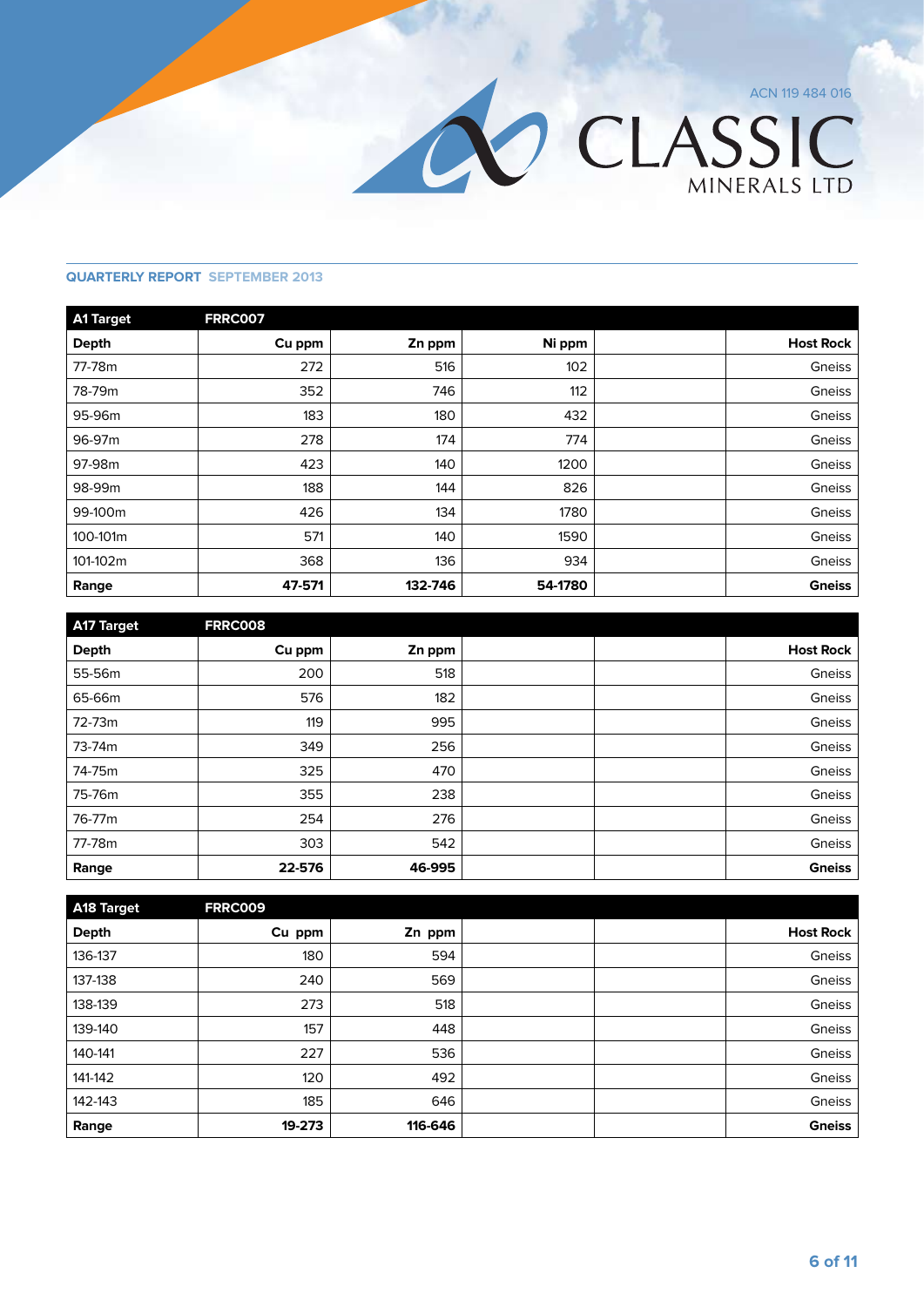

| <b>A1 Target</b> | <b>FRRC007</b> |         |         |                  |
|------------------|----------------|---------|---------|------------------|
| <b>Depth</b>     | Cu ppm         | Zn ppm  | Ni ppm  | <b>Host Rock</b> |
| 77-78m           | 272            | 516     | 102     | Gneiss           |
| 78-79m           | 352            | 746     | 112     | Gneiss           |
| 95-96m           | 183            | 180     | 432     | Gneiss           |
| 96-97m           | 278            | 174     | 774     | Gneiss           |
| 97-98m           | 423            | 140     | 1200    | Gneiss           |
| 98-99m           | 188            | 144     | 826     | Gneiss           |
| 99-100m          | 426            | 134     | 1780    | Gneiss           |
| 100-101m         | 571            | 140     | 1590    | Gneiss           |
| 101-102m         | 368            | 136     | 934     | Gneiss           |
| Range            | 47-571         | 132-746 | 54-1780 | <b>Gneiss</b>    |

| <b>A17 Target</b> | <b>FRRC008</b> |        |  |                  |
|-------------------|----------------|--------|--|------------------|
| <b>Depth</b>      | Cu ppm         | Zn ppm |  | <b>Host Rock</b> |
| 55-56m            | 200            | 518    |  | Gneiss           |
| 65-66m            | 576            | 182    |  | Gneiss           |
| 72-73m            | 119            | 995    |  | Gneiss           |
| 73-74m            | 349            | 256    |  | Gneiss           |
| 74-75m            | 325            | 470    |  | Gneiss           |
| 75-76m            | 355            | 238    |  | Gneiss           |
| 76-77m            | 254            | 276    |  | Gneiss           |
| 77-78m            | 303            | 542    |  | Gneiss           |
| Range             | 22-576         | 46-995 |  | <b>Gneiss</b>    |

| A18 Target   | <b>FRRC009</b> |         |  |                  |
|--------------|----------------|---------|--|------------------|
| <b>Depth</b> | Cu ppm         | Zn ppm  |  | <b>Host Rock</b> |
| 136-137      | 180            | 594     |  | Gneiss           |
| 137-138      | 240            | 569     |  | Gneiss           |
| 138-139      | 273            | 518     |  | Gneiss           |
| 139-140      | 157            | 448     |  | Gneiss           |
| 140-141      | 227            | 536     |  | Gneiss           |
| 141-142      | 120            | 492     |  | Gneiss           |
| 142-143      | 185            | 646     |  | Gneiss           |
| Range        | 19-273         | 116-646 |  | <b>Gneiss</b>    |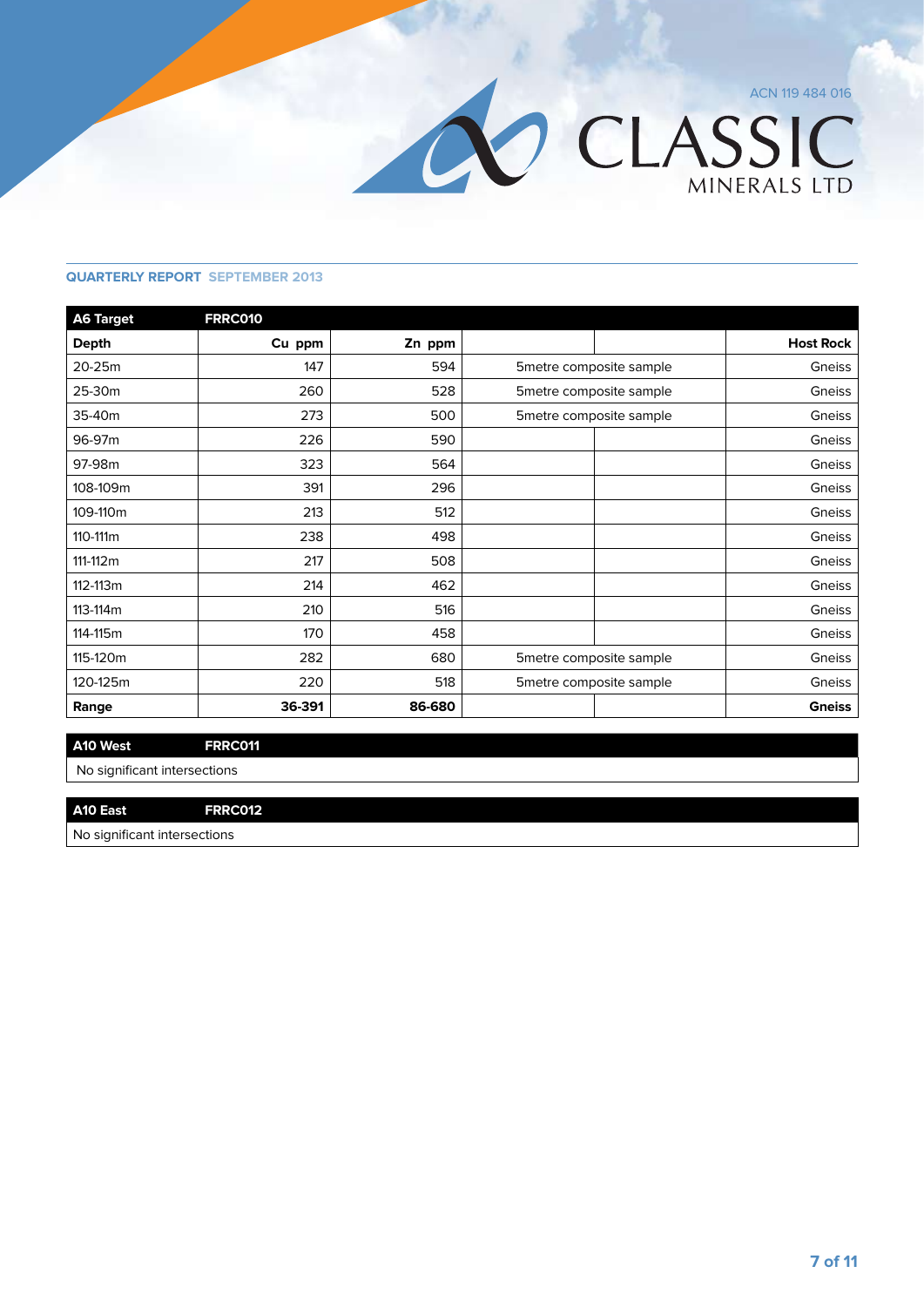

| <b>A6 Target</b> | <b>FRRC010</b> |        |                          |                          |                  |
|------------------|----------------|--------|--------------------------|--------------------------|------------------|
| <b>Depth</b>     | Cu ppm         | Zn ppm |                          |                          | <b>Host Rock</b> |
| 20-25m           | 147            | 594    |                          | 5 metre composite sample | Gneiss           |
| 25-30m           | 260            | 528    |                          | 5 metre composite sample | Gneiss           |
| 35-40m           | 273            | 500    |                          | 5 metre composite sample | Gneiss           |
| 96-97m           | 226            | 590    |                          |                          | Gneiss           |
| 97-98m           | 323            | 564    |                          |                          | Gneiss           |
| 108-109m         | 391            | 296    |                          |                          | Gneiss           |
| 109-110m         | 213            | 512    |                          |                          | Gneiss           |
| 110-111m         | 238            | 498    |                          |                          | Gneiss           |
| 111-112m         | 217            | 508    |                          |                          | Gneiss           |
| 112-113m         | 214            | 462    |                          |                          | Gneiss           |
| 113-114m         | 210            | 516    |                          |                          | Gneiss           |
| 114-115m         | 170            | 458    |                          |                          | Gneiss           |
| 115-120m         | 282            | 680    |                          | 5metre composite sample  |                  |
| 120-125m         | 220            | 518    | 5 metre composite sample |                          | Gneiss           |
| Range            | 36-391         | 86-680 |                          |                          | <b>Gneiss</b>    |

#### **A10 West FRRC011**

No significant intersections

#### **A10 East FRRC012**

No significant intersections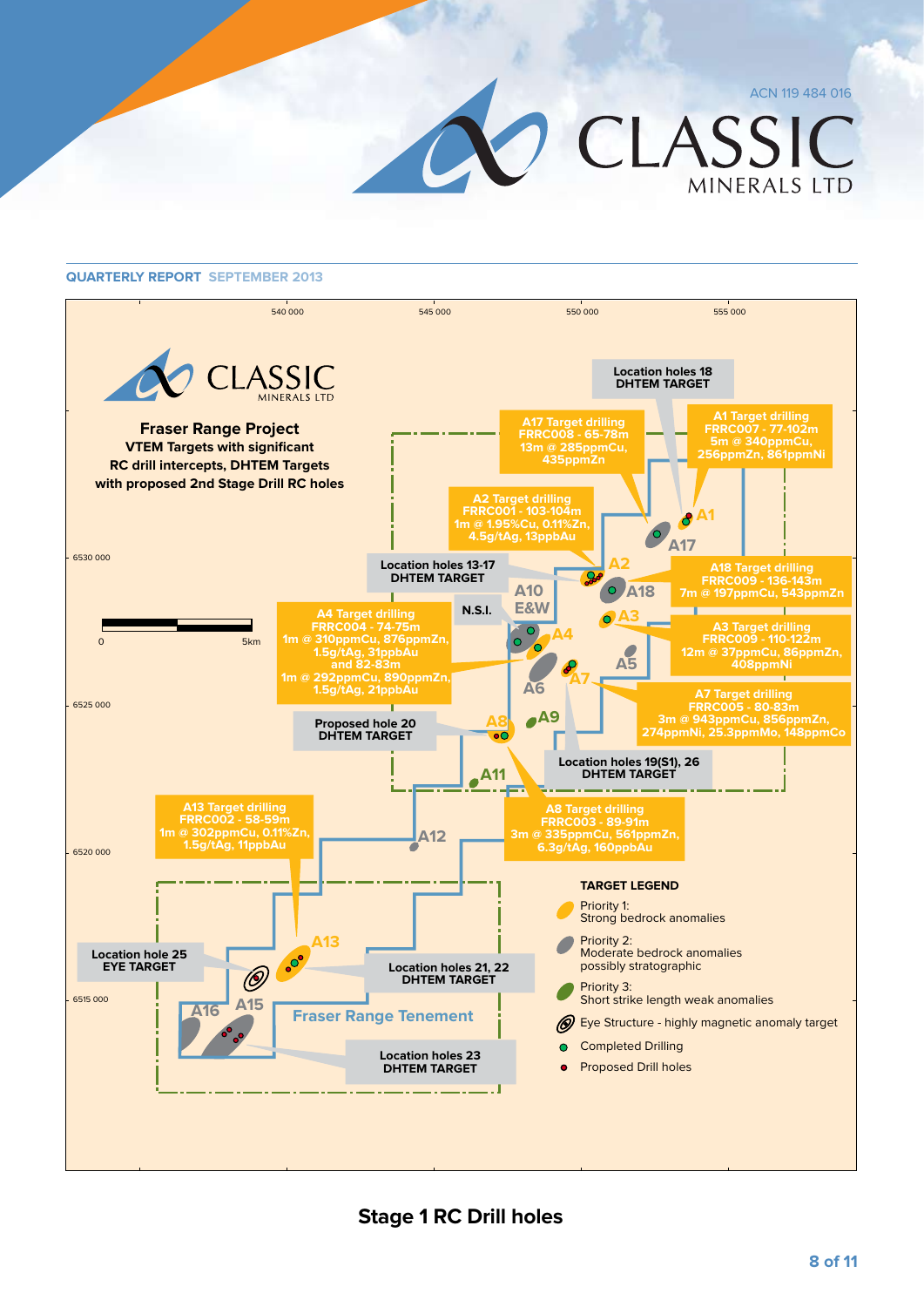CLASSIC MINERALS LTD



**Stage 1 RC Drill holes**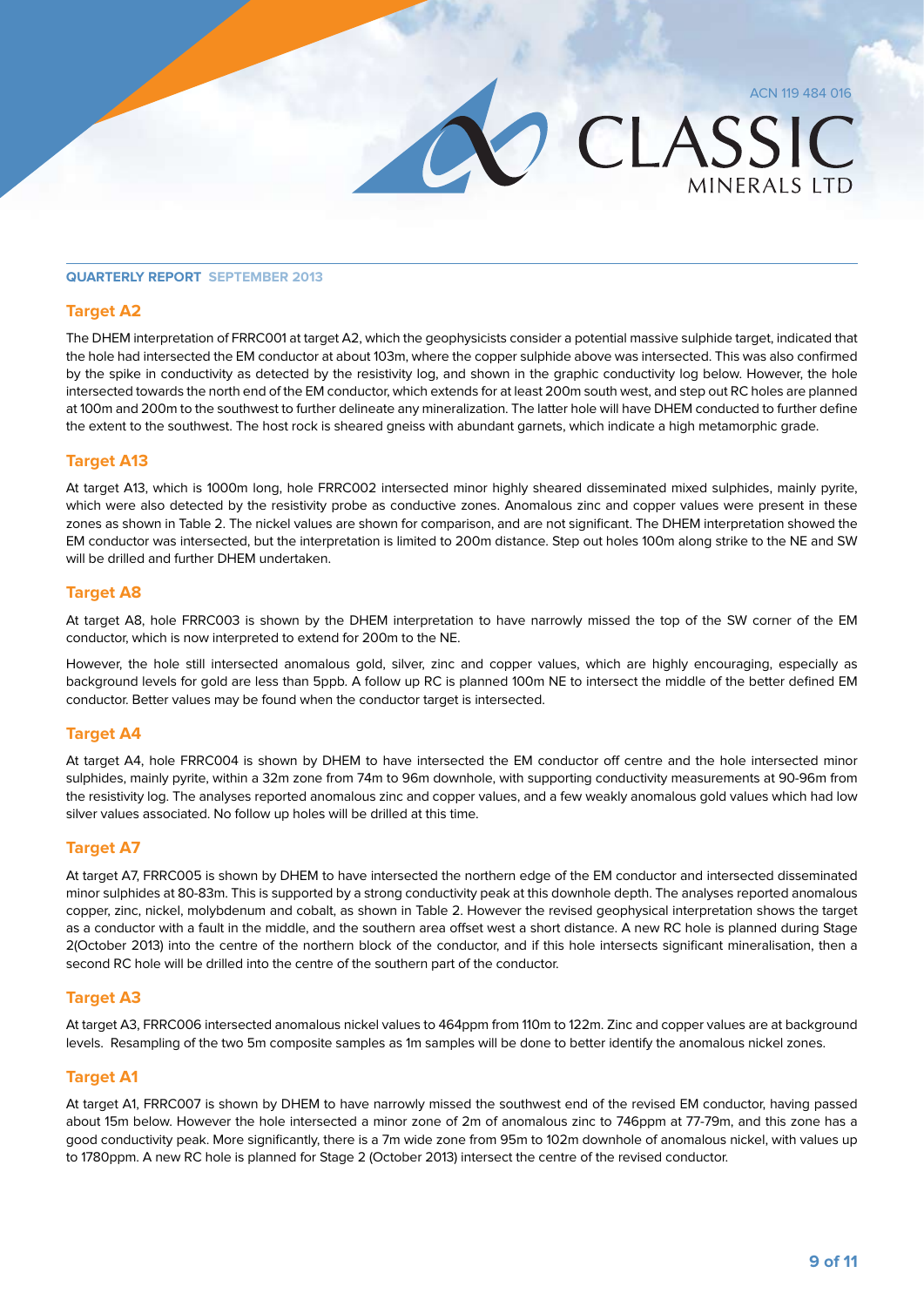**MINFRALS LTD** 

CLASSIC

#### **Quarterly Report September 2013**

#### **Target A2**

The DHEM interpretation of FRRC001 at target A2, which the geophysicists consider a potential massive sulphide target, indicated that the hole had intersected the EM conductor at about 103m, where the copper sulphide above was intersected. This was also confirmed by the spike in conductivity as detected by the resistivity log, and shown in the graphic conductivity log below. However, the hole intersected towards the north end of the EM conductor, which extends for at least 200m south west, and step out RC holes are planned at 100m and 200m to the southwest to further delineate any mineralization. The latter hole will have DHEM conducted to further define the extent to the southwest. The host rock is sheared gneiss with abundant garnets, which indicate a high metamorphic grade.

#### **Target A13**

At target A13, which is 1000m long, hole FRRC002 intersected minor highly sheared disseminated mixed sulphides, mainly pyrite, which were also detected by the resistivity probe as conductive zones. Anomalous zinc and copper values were present in these zones as shown in Table 2. The nickel values are shown for comparison, and are not significant. The DHEM interpretation showed the EM conductor was intersected, but the interpretation is limited to 200m distance. Step out holes 100m along strike to the NE and SW will be drilled and further DHEM undertaken.

#### **Target A8**

At target A8, hole FRRC003 is shown by the DHEM interpretation to have narrowly missed the top of the SW corner of the EM conductor, which is now interpreted to extend for 200m to the NE.

However, the hole still intersected anomalous gold, silver, zinc and copper values, which are highly encouraging, especially as background levels for gold are less than 5ppb. A follow up RC is planned 100m NE to intersect the middle of the better defined EM conductor. Better values may be found when the conductor target is intersected.

#### **Target A4**

At target A4, hole FRRC004 is shown by DHEM to have intersected the EM conductor off centre and the hole intersected minor sulphides, mainly pyrite, within a 32m zone from 74m to 96m downhole, with supporting conductivity measurements at 90-96m from the resistivity log. The analyses reported anomalous zinc and copper values, and a few weakly anomalous gold values which had low silver values associated. No follow up holes will be drilled at this time.

#### **Target A7**

At target A7, FRRC005 is shown by DHEM to have intersected the northern edge of the EM conductor and intersected disseminated minor sulphides at 80-83m. This is supported by a strong conductivity peak at this downhole depth. The analyses reported anomalous copper, zinc, nickel, molybdenum and cobalt, as shown in Table 2. However the revised geophysical interpretation shows the target as a conductor with a fault in the middle, and the southern area offset west a short distance. A new RC hole is planned during Stage 2(October 2013) into the centre of the northern block of the conductor, and if this hole intersects significant mineralisation, then a second RC hole will be drilled into the centre of the southern part of the conductor.

#### **Target A3**

At target A3, FRRC006 intersected anomalous nickel values to 464ppm from 110m to 122m. Zinc and copper values are at background levels. Resampling of the two 5m composite samples as 1m samples will be done to better identify the anomalous nickel zones.

#### **Target A1**

At target A1, FRRC007 is shown by DHEM to have narrowly missed the southwest end of the revised EM conductor, having passed about 15m below. However the hole intersected a minor zone of 2m of anomalous zinc to 746ppm at 77-79m, and this zone has a good conductivity peak. More significantly, there is a 7m wide zone from 95m to 102m downhole of anomalous nickel, with values up to 1780ppm. A new RC hole is planned for Stage 2 (October 2013) intersect the centre of the revised conductor.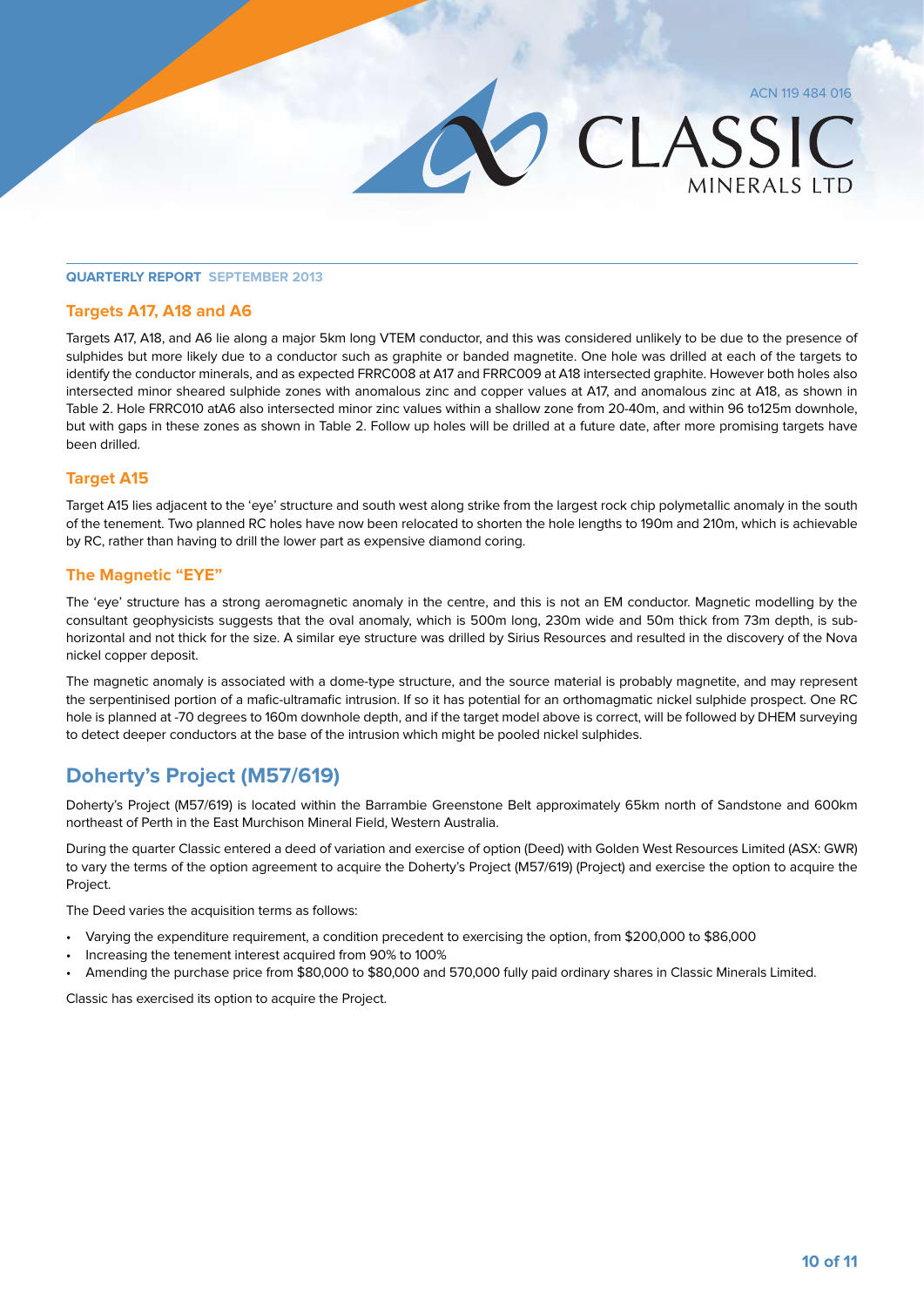**MINFRALS LTD** 

CLASSIC

### **Quarterly Report September 2013**

#### **Targets A17, A18 and A6**

Targets A17, A18, and A6 lie along a major 5km long VTEM conductor, and this was considered unlikely to be due to the presence of sulphides but more likely due to a conductor such as graphite or banded magnetite. One hole was drilled at each of the targets to identify the conductor minerals, and as expected FRRC008 at A17 and FRRC009 at A18 intersected graphite. However both holes also intersected minor sheared sulphide zones with anomalous zinc and copper values at A17, and anomalous zinc at A18, as shown in Table 2. Hole FRRC010 atA6 also intersected minor zinc values within a shallow zone from 20-40m, and within 96 to125m downhole, but with gaps in these zones as shown in Table 2. Follow up holes will be drilled at a future date, after more promising targets have been drilled.

#### **Target A15**

Target A15 lies adjacent to the 'eye' structure and south west along strike from the largest rock chip polymetallic anomaly in the south of the tenement. Two planned RC holes have now been relocated to shorten the hole lengths to 190m and 210m, which is achievable by RC, rather than having to drill the lower part as expensive diamond coring.

#### **The Magnetic "EYE"**

The 'eye' structure has a strong aeromagnetic anomaly in the centre, and this is not an EM conductor. Magnetic modelling by the consultant geophysicists suggests that the oval anomaly, which is 500m long, 230m wide and 50m thick from 73m depth, is subhorizontal and not thick for the size. A similar eye structure was drilled by Sirius Resources and resulted in the discovery of the Nova nickel copper deposit.

The magnetic anomaly is associated with a dome-type structure, and the source material is probably magnetite, and may represent the serpentinised portion of a mafic-ultramafic intrusion. If so it has potential for an orthomagmatic nickel sulphide prospect. One RC hole is planned at -70 degrees to 160m downhole depth, and if the target model above is correct, will be followed by DHEM surveying to detect deeper conductors at the base of the intrusion which might be pooled nickel sulphides.

# **Doherty's Project (M57/619)**

Doherty's Project (M57/619) is located within the Barrambie Greenstone Belt approximately 65km north of Sandstone and 600km northeast of Perth in the East Murchison Mineral Field, Western Australia.

During the quarter Classic entered a deed of variation and exercise of option (Deed) with Golden West Resources Limited (ASX: GWR) to vary the terms of the option agreement to acquire the Doherty's Project (M57/619) (Project) and exercise the option to acquire the Project.

The Deed varies the acquisition terms as follows:

- Varying the expenditure requirement, a condition precedent to exercising the option, from \$200,000 to \$86,000
- Increasing the tenement interest acquired from 90% to 100%
- Amending the purchase price from \$80,000 to \$80,000 and 570,000 fully paid ordinary shares in Classic Minerals Limited.

Classic has exercised its option to acquire the Project.